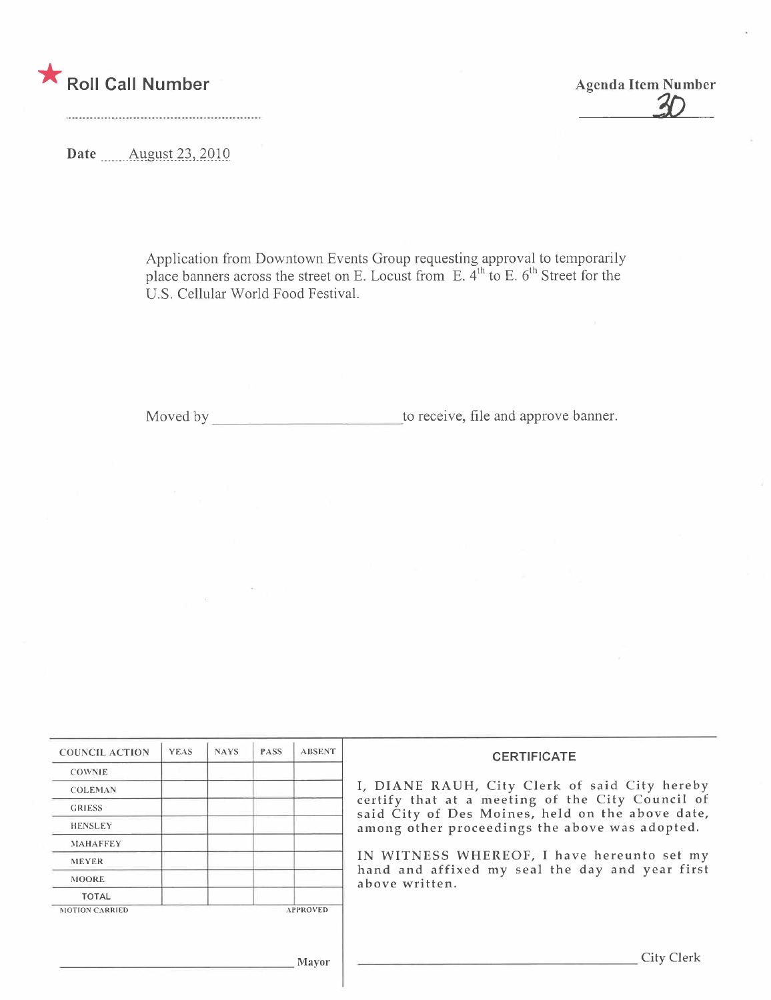

**Agenda Item Number** 

Date **August 23, 2010** 

Application from Downtown Events Group requesting approval to temporarily place banners across the street on E. Locust from E.  $4<sup>th</sup>$  to E.  $6<sup>th</sup>$  Street for the U.S. Cellular World Food Festival.

 $\rightarrow$ 

 $\sim$ 

| <b>COUNCIL ACTION</b> | <b>YEAS</b> | <b>NAYS</b> | <b>PASS</b> | <b>ABSENT</b>   | <b>CERTIFICATE</b>                                                                                   |
|-----------------------|-------------|-------------|-------------|-----------------|------------------------------------------------------------------------------------------------------|
| <b>COWNIE</b>         |             |             |             |                 |                                                                                                      |
| <b>COLEMAN</b>        |             |             |             |                 | I, DIANE RAUH, City Clerk of said City hereby                                                        |
| <b>GRIESS</b>         |             |             |             |                 | certify that at a meeting of the City Council of<br>said City of Des Moines, held on the above date, |
| <b>HENSLEY</b>        |             |             |             |                 | among other proceedings the above was adopted.                                                       |
| <b>MAHAFFEY</b>       |             |             |             |                 |                                                                                                      |
| <b>MEYER</b>          |             |             |             |                 | IN WITNESS WHEREOF, I have hereunto set my<br>hand and affixed my seal the day and year first        |
| <b>MOORE</b>          |             |             |             |                 | above written.                                                                                       |
| <b>TOTAL</b>          |             |             |             |                 |                                                                                                      |
| <b>MOTION CARRIED</b> |             |             |             | <b>APPROVED</b> |                                                                                                      |
|                       |             |             |             | Mayor           | City Clerk                                                                                           |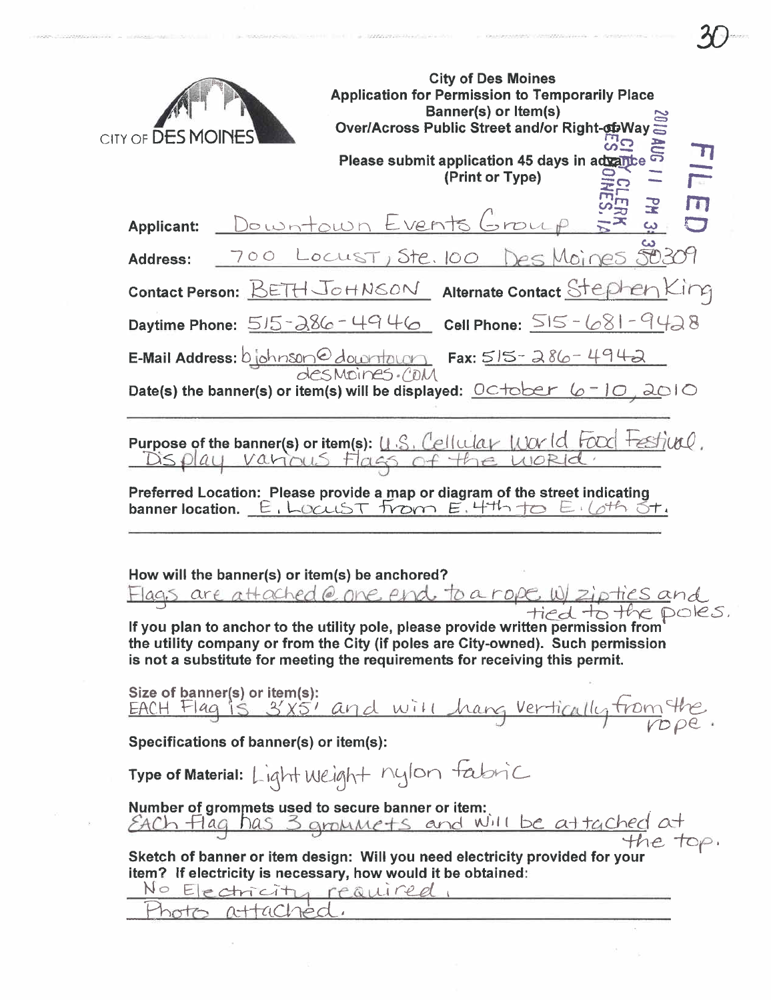|                        | <b>City of Des Moines</b><br><b>Application for Permission to Temporarily Place</b><br><b>Banner(s) or Item(s)</b><br><b>Over/Across Public Street and/or Right-obWay</b>                                                                             |
|------------------------|-------------------------------------------------------------------------------------------------------------------------------------------------------------------------------------------------------------------------------------------------------|
| CITY OF <b>DES MOI</b> |                                                                                                                                                                                                                                                       |
|                        | Please submit application 45 days in advante<br>(Print or Type)                                                                                                                                                                                       |
|                        | PH.                                                                                                                                                                                                                                                   |
| <b>Applicant:</b>      | Downtown Events Group                                                                                                                                                                                                                                 |
| <b>Address:</b>        | 700 LOCUST, Ste. 100 Des Moines 50309                                                                                                                                                                                                                 |
|                        | Contact Person: BETH JOHNSON Alternate Contact Stephen King                                                                                                                                                                                           |
|                        | Daytime Phone: $515 - 286 - 4946$ Cell Phone: $515 - 681 - 9428$                                                                                                                                                                                      |
|                        | $E$ -Mail Address: bjohnson C downtown Fax: $515 - 286 - 494 -$                                                                                                                                                                                       |
|                        | Date(s) the banner(s) or item(s) will be displayed: $OCD$ $C + O$ $C - 1O$ , $2O + O$                                                                                                                                                                 |
|                        |                                                                                                                                                                                                                                                       |
|                        | Purpose of the banner(s) or item(s): U.S. Cellular world Food Festival.                                                                                                                                                                               |
|                        | Preferred Location: Please provide a map or diagram of the street indicating<br>banner location. E. LOCUST From E. 4th to E. Loth St.                                                                                                                 |
|                        | How will the banner(s) or item(s) be anchored?                                                                                                                                                                                                        |
|                        | Flags are attached @ one end to a rope W/ zipties and<br>tied to the poles.<br>If you plan to anchor to the utility pole, please provide written permission from<br>the utility company or from the City (if poles are City-owned). Such permission   |
|                        | is not a substitute for meeting the requirements for receiving this permit.                                                                                                                                                                           |
|                        | Size of banner(s) or item(s):                                                                                                                                                                                                                         |
|                        | Size or panners or nems.<br>EACH Flag is 31x5' and will harg vertically from the<br>Specifications of banner(s) or item(s):                                                                                                                           |
|                        |                                                                                                                                                                                                                                                       |
|                        | Type of Material: Light Weight nylon fabric                                                                                                                                                                                                           |
|                        | Number of grommets used to secure banner or item.<br>EACh Flag has 3 grommets and Will be attached at<br>Sketch of banner or item design: Will you need electricity provided for your<br>item? If electricity is necessary, how would it be obtained: |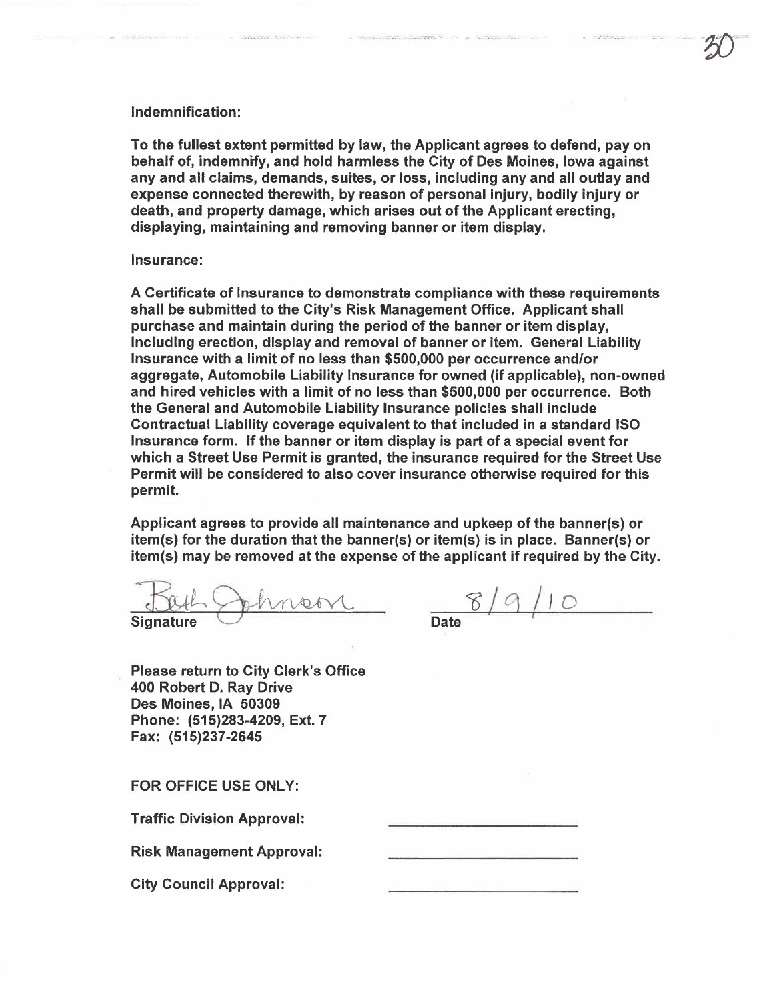## Indemnification:

To the fullest extent permitted by law, the Applicant agrees to defend, pay on behalf of, indemnify, and hold harmless the City of Des Moines, Iowa against any and all claims, demands, suites, or loss, including any and all outlay and expense connected therewith, by reason of personal injury, bodily injury or death, and property damage, which arises out of the Applicant erecting, displaying, maintaining and removing banner or item display.

## Insurance:

A Certificate of Insurance to demonstrate compliance with these requirements shall be submitted to the City's Risk Management Office. Applicant shall purchase and maintain during the period of the banner or item display, including erection, display and removal of banner or item. General Liability Insurance with a limit of no less than \$500,000 per occurrence and/or aggregate, Automobile Liabilty Insurance for owned (if applicable), non-owned and hired vehicles with a limit of no less than \$500,000 per occurrence. Both the General and Automobile Liability Insurance policies shall include Contractual Liabilty coverage equivalent to that included in a standard ISO Insurance form. If the banner or item display is part of a special event for which a Street Use Permit is granted, the insurance required for the Street Use Permit wil be considered to also cover insurance otherwise required for this permit.

Applicant agrees to provide all maintenance and upkeep of the banner(s) or item(s) for the duration that the banner(s) or item(s) is in place. Banner(s) or item(s) may be removed at the expense of the applicant if required by the City.

But Johnson 019/9/10

 $\infty$ 

Please return to City Clerk's Office 400 Robert D. Ray Drive Des Moines, IA 50309 Phone: (515)283-4209, Ext. 7 Fax: (515)237-2645

FOR OFFICE USE ONLY:

Traffic Division Approval:

Risk Management Approval:

City Council Approval: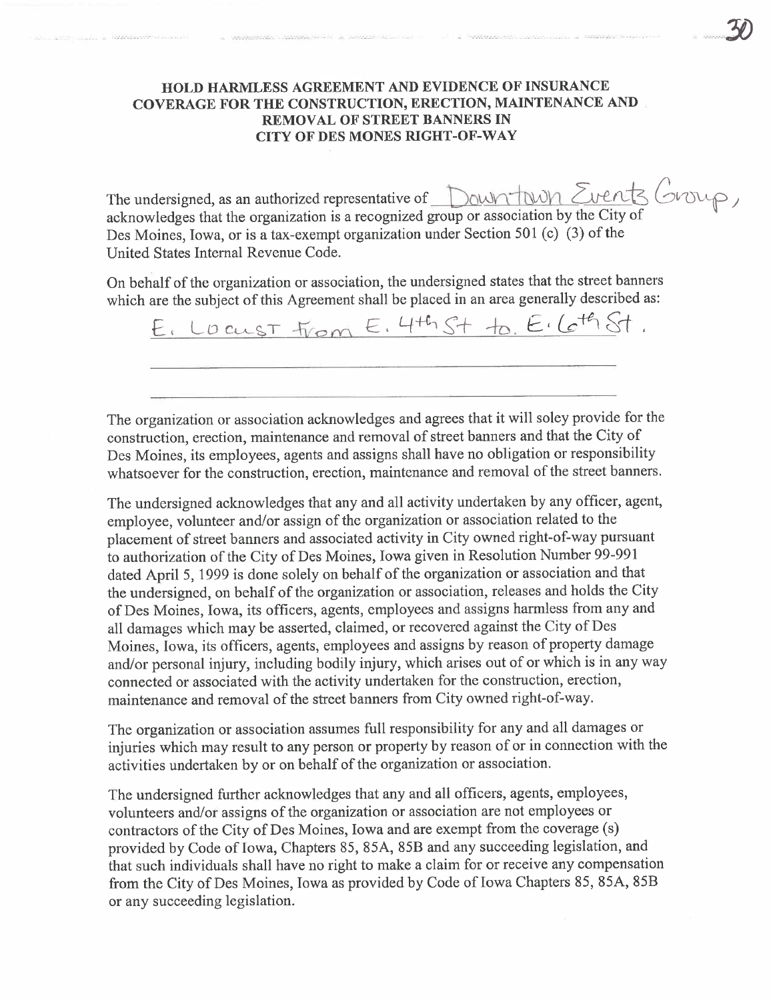## **HOLD HARMLESS AGREEMENT AND EVIDENCE OF INSURANCE** COVERAGE FOR THE CONSTRUCTION, ERECTION, MAINTENANCE AND **REMOVAL OF STREET BANNERS IN CITY OF DES MONES RIGHT-OF-WAY**

The undersigned, as an authorized representative of Down town Events Group, acknowledges that the organization is a recognized group or association by the City of Des Moines, Iowa, or is a tax-exempt organization under Section 501 (c) (3) of the United States Internal Revenue Code.

On behalf of the organization or association, the undersigned states that the street banners which are the subject of this Agreement shall be placed in an area generally described as:

E. LOCUST From E. 4th St to E. 6th St.

The organization or association acknowledges and agrees that it will soley provide for the construction, erection, maintenance and removal of street banners and that the City of Des Moines, its employees, agents and assigns shall have no obligation or responsibility whatsoever for the construction, erection, maintenance and removal of the street banners.

The undersigned acknowledges that any and all activity undertaken by any officer, agent, employee, volunteer and/or assign of the organization or association related to the placement of street banners and associated activity in City owned right-of-way pursuant to authorization of the City of Des Moines, Iowa given in Resolution Number 99-991 dated April 5, 1999 is done solely on behalf of the organization or association and that the undersigned, on behalf of the organization or association, releases and holds the City of Des Moines, Iowa, its officers, agents, employees and assigns harmless from any and all damages which may be asserted, claimed, or recovered against the City of Des Moines, Iowa, its officers, agents, employees and assigns by reason of property damage and/or personal injury, including bodily injury, which arises out of or which is in any way connected or associated with the activity undertaken for the construction, erection, maintenance and removal of the street banners from City owned right-of-way.

The organization or association assumes full responsibility for any and all damages or injuries which may result to any person or property by reason of or in connection with the activities undertaken by or on behalf of the organization or association.

The undersigned further acknowledges that any and all officers, agents, employees, volunteers and/or assigns of the organization or association are not employees or contractors of the City of Des Moines, Iowa and are exempt from the coverage (s) provided by Code of Iowa, Chapters 85, 85A, 85B and any succeeding legislation, and that such individuals shall have no right to make a claim for or receive any compensation from the City of Des Moines, Iowa as provided by Code of Iowa Chapters 85, 85A, 85B or any succeeding legislation.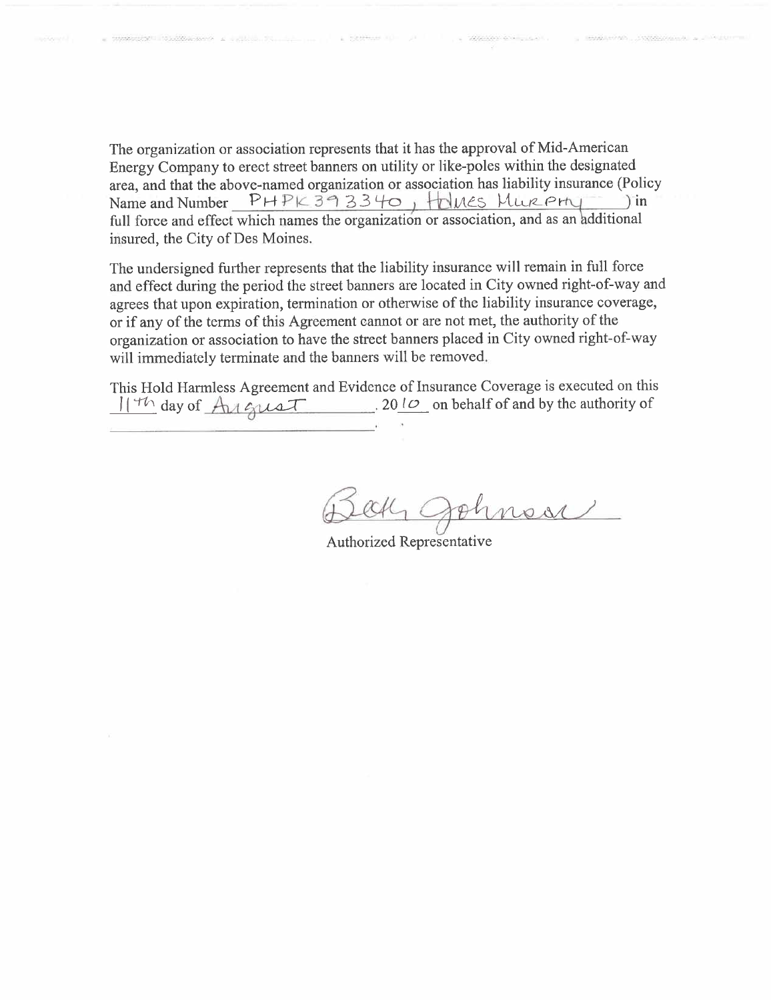The organization or association represents that it has the approval of Mid-American Energy Company to erect street banners on utility or like-poles within the designated area, and that the above-named organization or association has liability insurance (Policy<br>Name and Number  $PHPK393340$ ,  $HMASSMURPHI$ Name and Number PHPK 393340, HOLMES MURPHY

full force and effect which names the organizatión or association, and as an hdditional insured, the City of Des Moines.

The undersigned further represents that the liability insurance will remain in full force and effect during the period the street banners are located in City owned right-of-way and agrees that upon expiration, termination or otherwise of the liability insurance coverage, or if any of the terms of this Agreement cannot or are not met, the authority of the organization or association to have the street banners placed in City owned right-of-way will immediately terminate and the banners will be removed.

This Hold Harmless Agreement and Evidence of Insurance Coverage is executed on this  $\frac{114}{10}$  day of  $\frac{A_{14}}{10}$  and  $\frac{A_{24}}{10}$ . 20  $\frac{10}{10}$  on behalf of and by the authority of

Bak Johnson

Authorized Representative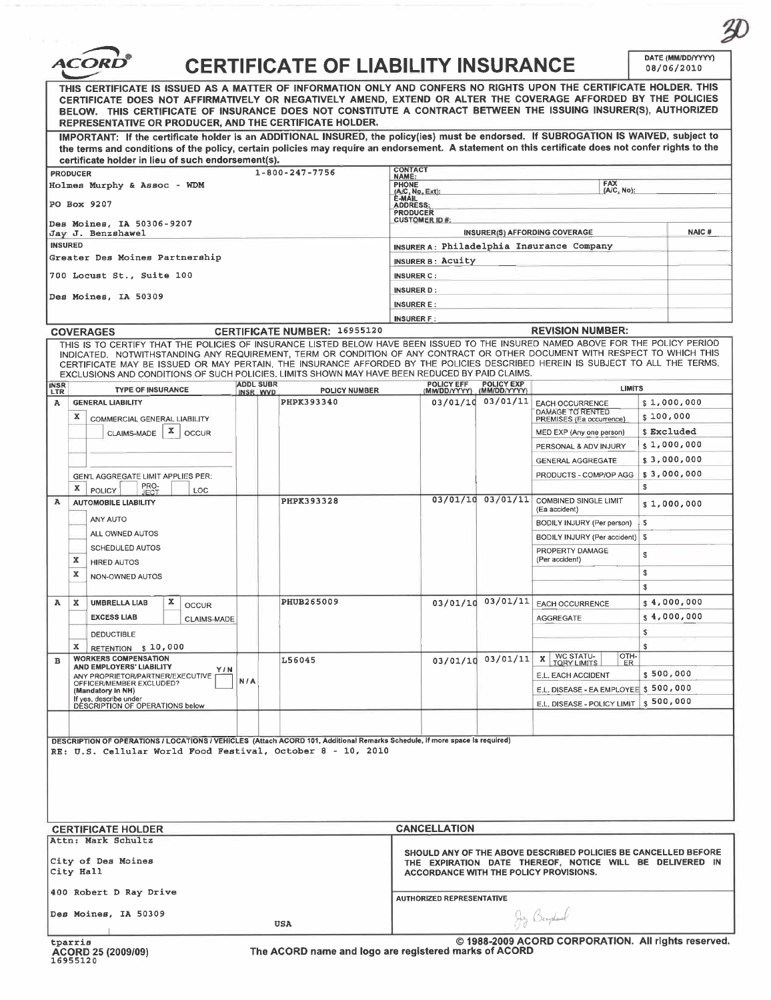|                    | <b>CERTIFICATE OF LIABILITY INSURANCE</b>                                                                                                                                                                                                                                                                                                                                                                        |                                     |                                                                                                                                                                      |                                   |                                                                         |             | DATE (MM/DD/YYYY)<br>08/06/2010 |  |
|--------------------|------------------------------------------------------------------------------------------------------------------------------------------------------------------------------------------------------------------------------------------------------------------------------------------------------------------------------------------------------------------------------------------------------------------|-------------------------------------|----------------------------------------------------------------------------------------------------------------------------------------------------------------------|-----------------------------------|-------------------------------------------------------------------------|-------------|---------------------------------|--|
|                    | THIS CERTIFICATE IS ISSUED AS A MATTER OF INFORMATION ONLY AND CONFERS NO RIGHTS UPON THE CERTIFICATE HOLDER. THIS<br>CERTIFICATE DOES NOT AFFIRMATIVELY OR NEGATIVELY AMEND, EXTEND OR ALTER THE COVERAGE AFFORDED BY THE POLICIES<br>BELOW. THIS CERTIFICATE OF INSURANCE DOES NOT CONSTITUTE A CONTRACT BETWEEN THE ISSUING INSURER(S), AUTHORIZED<br>REPRESENTATIVE OR PRODUCER. AND THE CERTIFICATE HOLDER. |                                     |                                                                                                                                                                      |                                   |                                                                         |             |                                 |  |
|                    | IMPORTANT: If the certificate holder is an ADDITIONAL INSURED, the policy(ies) must be endorsed. If SUBROGATION IS WAIVED, subject to<br>the terms and conditions of the policy, certain policies may require an endorsement. A statement on this certificate does not confer rights to the<br>certificate holder in lieu of such endorsement(s).                                                                |                                     |                                                                                                                                                                      |                                   |                                                                         |             |                                 |  |
|                    | $1 - 800 - 247 - 7756$<br><b>PRODUCER</b>                                                                                                                                                                                                                                                                                                                                                                        |                                     | <b>CONTACT</b><br><b>NAME:</b>                                                                                                                                       |                                   |                                                                         |             |                                 |  |
|                    | Holmes Murphy & Assoc $1$ WDM                                                                                                                                                                                                                                                                                                                                                                                    |                                     | FAX<br><b>PHONE</b><br>(A/C, No):<br>(A/C, No, Ext):                                                                                                                 |                                   |                                                                         |             |                                 |  |
|                    | PO Box 9207                                                                                                                                                                                                                                                                                                                                                                                                      |                                     | E-MAIL<br><b>ADDRESS:</b>                                                                                                                                            |                                   |                                                                         |             |                                 |  |
|                    |                                                                                                                                                                                                                                                                                                                                                                                                                  |                                     | <b>PRODUCER</b><br><b>CUSTOMER ID#:</b>                                                                                                                              |                                   |                                                                         |             |                                 |  |
|                    | Des Moines, IA 50306-9207<br>Jay J. Benzshawel                                                                                                                                                                                                                                                                                                                                                                   |                                     |                                                                                                                                                                      |                                   | INSURER(S) AFFORDING COVERAGE                                           |             | NAIC#                           |  |
| <b>INSURED</b>     |                                                                                                                                                                                                                                                                                                                                                                                                                  |                                     | INSURER A: Philadelphia Insurance Company                                                                                                                            |                                   |                                                                         |             |                                 |  |
|                    | Greater Des Moines Partnership                                                                                                                                                                                                                                                                                                                                                                                   |                                     | <b>INSURER B: Acuity</b>                                                                                                                                             |                                   |                                                                         |             |                                 |  |
|                    | 700 Locust St., Suite 100                                                                                                                                                                                                                                                                                                                                                                                        |                                     | <b>INSURER C:</b>                                                                                                                                                    |                                   |                                                                         |             |                                 |  |
|                    | Des Moines, IA 50309                                                                                                                                                                                                                                                                                                                                                                                             |                                     | <b>INSURER D:</b>                                                                                                                                                    |                                   |                                                                         |             |                                 |  |
|                    |                                                                                                                                                                                                                                                                                                                                                                                                                  |                                     | <b>INSURER E:</b>                                                                                                                                                    |                                   |                                                                         |             |                                 |  |
|                    |                                                                                                                                                                                                                                                                                                                                                                                                                  |                                     | <b>INSURER F:</b>                                                                                                                                                    |                                   |                                                                         |             |                                 |  |
|                    | <b>COVERAGES</b><br>THIS IS TO CERTIFY THAT THE POLICIES OF INSURANCE LISTED BELOW HAVE BEEN ISSUED TO THE INSURED NAMED ABOVE FOR THE POLICY PERIOD                                                                                                                                                                                                                                                             | <b>CERTIFICATE NUMBER: 16955120</b> |                                                                                                                                                                      |                                   | <b>REVISION NUMBER:</b>                                                 |             |                                 |  |
|                    | INDICATED. NOTWITHSTANDING ANY REQUIREMENT, TERM OR CONDITION OF ANY CONTRACT OR OTHER DOCUMENT WITH RESPECT TO WHICH THIS<br>CERTIFICATE MAY BE ISSUED OR MAY PERTAIN, THE INSURANCE AFFORDED BY THE POLICIES DESCRIBED HEREIN IS SUBJECT TO ALL THE TERMS,<br>EXCLUSIONS AND CONDITIONS OF SUCH POLICIES. LIMITS SHOWN MAY HAVE BEEN REDUCED BY PAID CLAIMS.                                                   |                                     |                                                                                                                                                                      |                                   |                                                                         |             |                                 |  |
| <b>INSR</b><br>LTR | <b>ADDL SUBR</b><br><b>TYPE OF INSURANCE</b><br>INSR WVD                                                                                                                                                                                                                                                                                                                                                         | <b>POLICY NUMBER</b>                | <b>POLICY EFF</b><br>(MM/DD/YYYY)                                                                                                                                    | <b>POLICY EXP</b><br>(MM/DD/YYYY) | <b>LIMITS</b>                                                           |             |                                 |  |
| $\mathbf{A}$       | <b>GENERAL LIABILITY</b>                                                                                                                                                                                                                                                                                                                                                                                         | PHPK393340                          | 03/01/10                                                                                                                                                             | 03/01/11                          | <b>EACH OCCURRENCE</b>                                                  |             | \$1,000,000                     |  |
|                    | x<br>COMMERCIAL GENERAL LIABILITY                                                                                                                                                                                                                                                                                                                                                                                |                                     |                                                                                                                                                                      |                                   | DAMAGE TO RENTED<br>PREMISES (Ea occurrence)                            | \$100,000   |                                 |  |
|                    | x<br>CLAIMS-MADE<br><b>OCCUR</b>                                                                                                                                                                                                                                                                                                                                                                                 |                                     |                                                                                                                                                                      |                                   | MED EXP (Any one person)                                                |             | \$ Excluded                     |  |
|                    |                                                                                                                                                                                                                                                                                                                                                                                                                  |                                     |                                                                                                                                                                      |                                   | PERSONAL & ADV INJURY                                                   |             | \$1,000,000                     |  |
|                    |                                                                                                                                                                                                                                                                                                                                                                                                                  |                                     |                                                                                                                                                                      |                                   | <b>GENERAL AGGREGATE</b>                                                |             | \$3,000,000                     |  |
|                    | GEN'L AGGREGATE LIMIT APPLIES PER:                                                                                                                                                                                                                                                                                                                                                                               |                                     |                                                                                                                                                                      |                                   | PRODUCTS - COMP/OP AGG                                                  | \$3,000,000 |                                 |  |
|                    | PRO-<br>x.<br><b>POLICY</b><br>LOC<br><b>JECT</b>                                                                                                                                                                                                                                                                                                                                                                |                                     |                                                                                                                                                                      |                                   |                                                                         | s           |                                 |  |
| A                  | <b>AUTOMOBILE LIABILITY</b>                                                                                                                                                                                                                                                                                                                                                                                      | PHPK393328                          |                                                                                                                                                                      | $03/01/10$ $03/01/11$             | COMBINED SINGLE LIMIT<br>(Ea accident)                                  |             | \$1,000,000                     |  |
|                    | ANY AUTO                                                                                                                                                                                                                                                                                                                                                                                                         |                                     |                                                                                                                                                                      |                                   | BODILY INJURY (Per person)                                              | $\sim$      |                                 |  |
|                    | ALL OWNED AUTOS                                                                                                                                                                                                                                                                                                                                                                                                  |                                     |                                                                                                                                                                      |                                   | BODILY INJURY (Per accident)   \$                                       |             |                                 |  |
|                    | SCHEDULED AUTOS                                                                                                                                                                                                                                                                                                                                                                                                  |                                     |                                                                                                                                                                      |                                   | PROPERTY DAMAGE                                                         | s           |                                 |  |
|                    | x<br><b>HIRED AUTOS</b>                                                                                                                                                                                                                                                                                                                                                                                          |                                     |                                                                                                                                                                      |                                   | (Per accident)                                                          |             |                                 |  |
|                    | х<br><b>NON-OWNED AUTOS</b>                                                                                                                                                                                                                                                                                                                                                                                      |                                     |                                                                                                                                                                      |                                   |                                                                         | \$          |                                 |  |
|                    |                                                                                                                                                                                                                                                                                                                                                                                                                  |                                     |                                                                                                                                                                      |                                   |                                                                         | \$          |                                 |  |
| A<br>x             | x<br><b>UMBRELLA LIAB</b><br><b>OCCUR</b>                                                                                                                                                                                                                                                                                                                                                                        | PHUB265009                          |                                                                                                                                                                      | 03/01/10 03/01/11                 | <b>EACH OCCURRENCE</b>                                                  |             | \$4,000,000                     |  |
|                    | <b>EXCESS LIAB</b><br><b>CLAIMS-MADE</b>                                                                                                                                                                                                                                                                                                                                                                         |                                     |                                                                                                                                                                      |                                   | <b>AGGREGATE</b>                                                        |             | $s4$ ,000,000                   |  |
|                    | <b>DEDUCTIBLE</b>                                                                                                                                                                                                                                                                                                                                                                                                |                                     |                                                                                                                                                                      |                                   |                                                                         | \$          |                                 |  |
|                    | X RETENTION \$ 10,000<br><b>WORKERS COMPENSATION</b>                                                                                                                                                                                                                                                                                                                                                             |                                     |                                                                                                                                                                      | 03/01/10 03/01/11                 | WC STATU-<br>TORY LIMITS<br>OTH-<br>x                                   | s           |                                 |  |
| $\mathbf{B}$       | AND EMPLOYERS' LIABILITY<br>Y / N                                                                                                                                                                                                                                                                                                                                                                                | L56045                              |                                                                                                                                                                      |                                   | ER                                                                      |             |                                 |  |
|                    | ANY PROPRIETOR/PARTNER/EXECUTIVE<br>N/A<br>OFFICER/MEMBER EXCLUDED?                                                                                                                                                                                                                                                                                                                                              |                                     |                                                                                                                                                                      |                                   | \$500,000<br>E.L. EACH ACCIDENT<br>E.L. DISEASE - EA EMPLOYEE \$500,000 |             |                                 |  |
|                    | (Mandatory in NH)<br>If yes, describe under                                                                                                                                                                                                                                                                                                                                                                      |                                     |                                                                                                                                                                      |                                   | E.L. DISEASE - POLICY LIMIT \$ 500,000                                  |             |                                 |  |
|                    | DÉSCRIPTION OF OPERATIONS below                                                                                                                                                                                                                                                                                                                                                                                  |                                     |                                                                                                                                                                      |                                   |                                                                         |             |                                 |  |
|                    |                                                                                                                                                                                                                                                                                                                                                                                                                  |                                     |                                                                                                                                                                      |                                   |                                                                         |             |                                 |  |
|                    | DESCRIPTION OF OPERATIONS / LOCATIONS / VEHICLES (Attach ACORD 101, Additional Remarks Schedule, if more space is required)                                                                                                                                                                                                                                                                                      |                                     |                                                                                                                                                                      |                                   |                                                                         |             |                                 |  |
|                    | RE: U.S. Cellular World Food Festival, October 8 - 10, 2010                                                                                                                                                                                                                                                                                                                                                      |                                     |                                                                                                                                                                      |                                   |                                                                         |             |                                 |  |
|                    |                                                                                                                                                                                                                                                                                                                                                                                                                  |                                     |                                                                                                                                                                      |                                   |                                                                         |             |                                 |  |
|                    |                                                                                                                                                                                                                                                                                                                                                                                                                  |                                     |                                                                                                                                                                      |                                   |                                                                         |             |                                 |  |
|                    |                                                                                                                                                                                                                                                                                                                                                                                                                  |                                     |                                                                                                                                                                      |                                   |                                                                         |             |                                 |  |
|                    |                                                                                                                                                                                                                                                                                                                                                                                                                  |                                     |                                                                                                                                                                      |                                   |                                                                         |             |                                 |  |
|                    | <b>CERTIFICATE HOLDER</b>                                                                                                                                                                                                                                                                                                                                                                                        |                                     | <b>CANCELLATION</b>                                                                                                                                                  |                                   |                                                                         |             |                                 |  |
|                    | Attn: Mark Schultz                                                                                                                                                                                                                                                                                                                                                                                               |                                     |                                                                                                                                                                      |                                   |                                                                         |             |                                 |  |
|                    | City of Des Moines<br>City Hall                                                                                                                                                                                                                                                                                                                                                                                  |                                     | SHOULD ANY OF THE ABOVE DESCRIBED POLICIES BE CANCELLED BEFORE<br>THE EXPIRATION DATE THEREOF, NOTICE WILL BE DELIVERED IN<br>ACCORDANCE WITH THE POLICY PROVISIONS. |                                   |                                                                         |             |                                 |  |
|                    | 400 Robert D Ray Drive                                                                                                                                                                                                                                                                                                                                                                                           |                                     | <b>AUTHORIZED REPRESENTATIVE</b>                                                                                                                                     |                                   |                                                                         |             |                                 |  |
|                    | Des Moines, IA 50309                                                                                                                                                                                                                                                                                                                                                                                             |                                     |                                                                                                                                                                      |                                   | Jz Benpland                                                             |             |                                 |  |
|                    | USA                                                                                                                                                                                                                                                                                                                                                                                                              |                                     |                                                                                                                                                                      |                                   |                                                                         |             |                                 |  |

 $\mathcal{D}$ 

The ACORD name and logo are registered marks of ACORD CORPORATION. All rights reserved.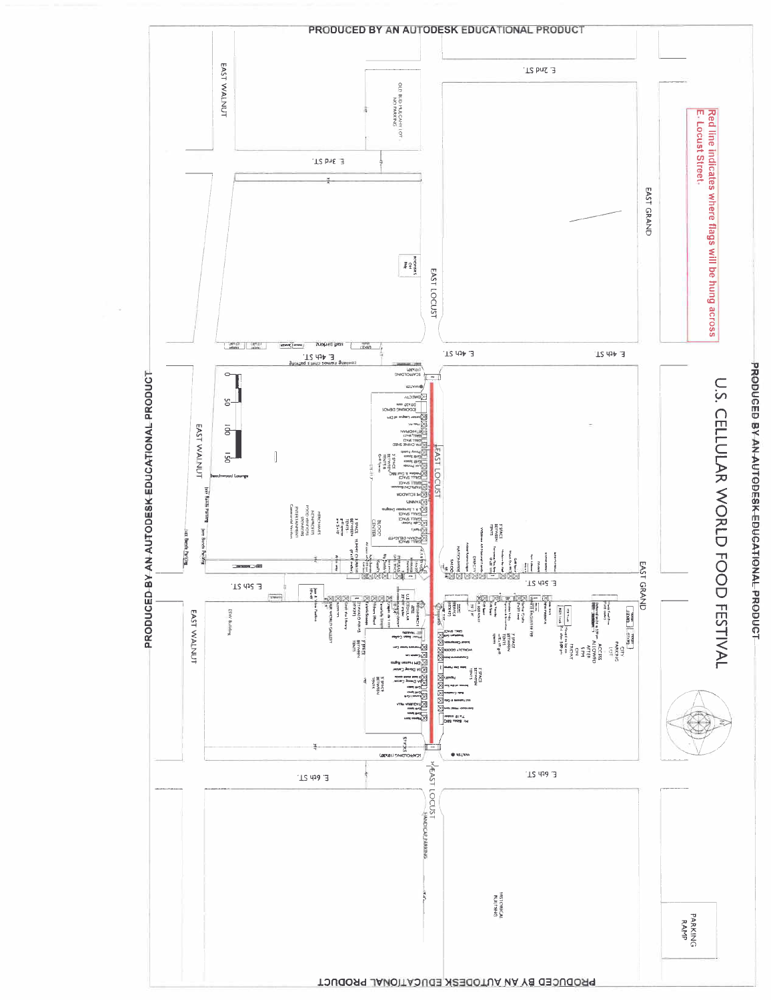